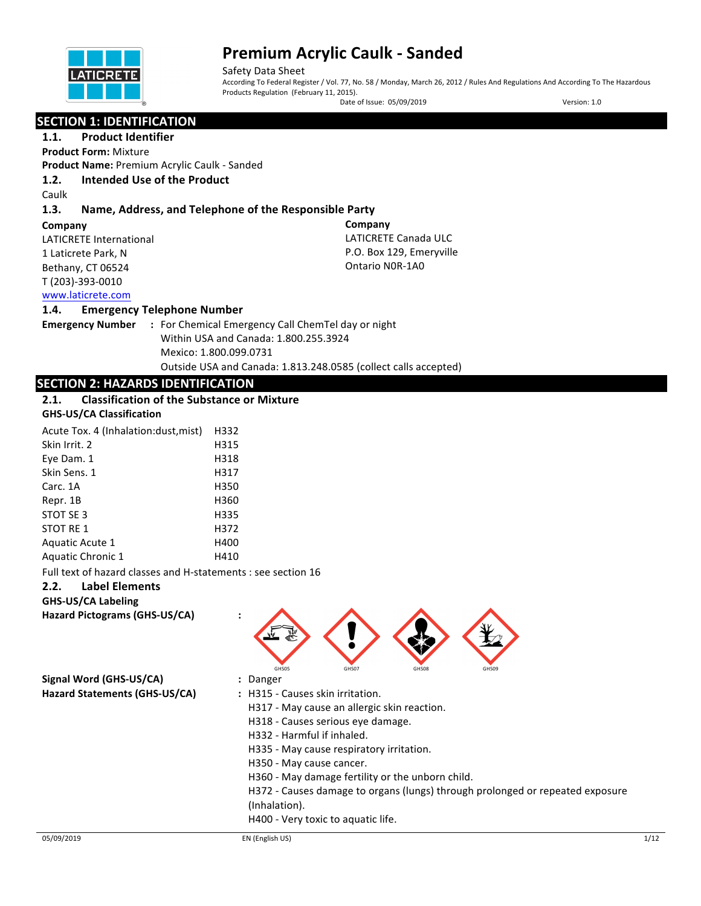

Safety Data Sheet According To Federal Register / Vol. 77, No. 58 / Monday, March 26, 2012 / Rules And Regulations And According To The Hazardous Products Regulation (February 11, 2015).

Date of Issue: 05/09/2019 Version: 1.0

**Company** 

LATICRETE Canada ULC P.O. Box 129, Emeryville Ontario N0R-1A0

### **SECTION 1: IDENTIFICATION**

**1.1.** Product Identifier **Product Form:** Mixture

**Product Name: Premium Acrylic Caulk - Sanded** 

#### **1.2. Intended Use of the Product**

Caulk

#### **1.3. Name, Address, and Telephone of the Responsible Party**

#### **Company**

LATICRETE International 1 Laticrete Park, N Bethany, CT 06524 T (203)-393-0010 www.laticrete.com 

#### **1.4. Emergency Telephone Number**

**Emergency Number : For Chemical Emergency Call ChemTel day or night** Within USA and Canada: 1.800.255.3924 Mexico: 1.800.099.0731 Outside USA and Canada: 1.813.248.0585 (collect calls accepted)

#### **SECTION 2: HAZARDS IDENTIFICATION**

#### **2.1.** Classification of the Substance or Mixture

#### **GHS-US/CA Classification**

| Acute Tox. 4 (Inhalation: dust, mist) | H332 |
|---------------------------------------|------|
| Skin Irrit. 2                         | H315 |
| Eye Dam. 1                            | H318 |
| Skin Sens. 1                          | H317 |
| Carc. 1A                              | H350 |
| Repr. 1B                              | H360 |
| STOT SE 3                             | H335 |
| STOT RE 1                             | H372 |
| Aquatic Acute 1                       | H400 |
| Aquatic Chronic 1                     | H410 |
|                                       |      |

Full text of hazard classes and H-statements : see section 16

#### **2.2. Label Elements**

#### **GHS-US/CA Labeling**

**Hazard Pictograms (GHS-US/CA) :**

| W<br>€<br>GHS05 | GHS07 | GHS08 | GHS09 |
|-----------------|-------|-------|-------|
|                 |       |       |       |

**Signal Word (GHS-US/CA) :** Danger

- 
- Hazard Statements (GHS-US/CA) : H315 Causes skin irritation.
	- H317 May cause an allergic skin reaction.
	- H318 Causes serious eye damage.
	- H332 Harmful if inhaled.
	- H335 May cause respiratory irritation.
	- H350 May cause cancer.
	- H360 May damage fertility or the unborn child.

H372 - Causes damage to organs (lungs) through prolonged or repeated exposure

- (Inhalation).
- H400 Very toxic to aquatic life.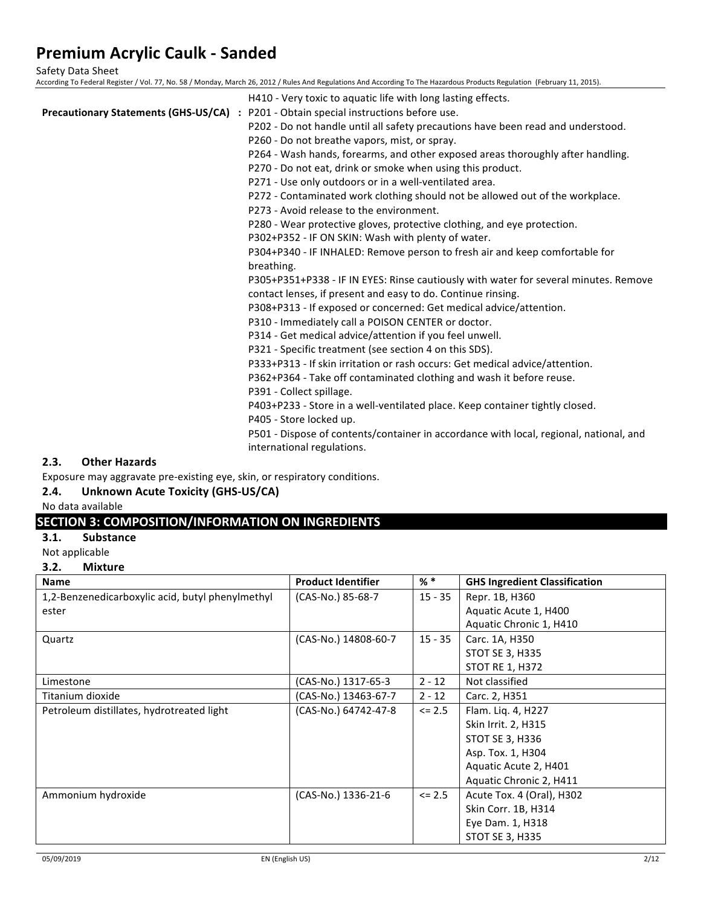Safety Data Sheet

According To Federal Register / Vol. 77, No. 58 / Monday, March 26, 2012 / Rules And Regulations And According To The Hazardous Products Regulation (February 11, 2015).

| H410 - Very toxic to aquatic life with long lasting effects.                                 |
|----------------------------------------------------------------------------------------------|
| <b>Precautionary Statements (GHS-US/CA)</b> : P201 - Obtain special instructions before use. |
| P202 - Do not handle until all safety precautions have been read and understood.             |
| P260 - Do not breathe vapors, mist, or spray.                                                |
| P264 - Wash hands, forearms, and other exposed areas thoroughly after handling.              |
| P270 - Do not eat, drink or smoke when using this product.                                   |
| P271 - Use only outdoors or in a well-ventilated area.                                       |
| P272 - Contaminated work clothing should not be allowed out of the workplace.                |
| P273 - Avoid release to the environment.                                                     |
| P280 - Wear protective gloves, protective clothing, and eye protection.                      |
| P302+P352 - IF ON SKIN: Wash with plenty of water.                                           |
| P304+P340 - IF INHALED: Remove person to fresh air and keep comfortable for                  |
| breathing.                                                                                   |
| P305+P351+P338 - IF IN EYES: Rinse cautiously with water for several minutes. Remove         |
| contact lenses, if present and easy to do. Continue rinsing.                                 |
| P308+P313 - If exposed or concerned: Get medical advice/attention.                           |
| P310 - Immediately call a POISON CENTER or doctor.                                           |
| P314 - Get medical advice/attention if you feel unwell.                                      |
| P321 - Specific treatment (see section 4 on this SDS).                                       |
| P333+P313 - If skin irritation or rash occurs: Get medical advice/attention.                 |
| P362+P364 - Take off contaminated clothing and wash it before reuse.                         |
| P391 - Collect spillage.                                                                     |
| P403+P233 - Store in a well-ventilated place. Keep container tightly closed.                 |
| P405 - Store locked up.                                                                      |
| P501 - Dispose of contents/container in accordance with local, regional, national, and       |
| international regulations.                                                                   |

#### **2.3. Other Hazards**

Exposure may aggravate pre-existing eye, skin, or respiratory conditions.

### 2.4. Unknown Acute Toxicity (GHS-US/CA)

#### No data available

### **SECTION 3: COMPOSITION/INFORMATION ON INGREDIENTS**

#### **3.1. Substance**

Not applicable

#### **3.2. Mixture**

| <b>Name</b>                                      | <b>Product Identifier</b> | % *        | <b>GHS Ingredient Classification</b> |
|--------------------------------------------------|---------------------------|------------|--------------------------------------|
| 1,2-Benzenedicarboxylic acid, butyl phenylmethyl | (CAS-No.) 85-68-7         | $15 - 35$  | Repr. 1B, H360                       |
| ester                                            |                           |            | Aquatic Acute 1, H400                |
|                                                  |                           |            | Aquatic Chronic 1, H410              |
| Quartz                                           | (CAS-No.) 14808-60-7      | $15 - 35$  | Carc. 1A, H350                       |
|                                                  |                           |            | <b>STOT SE 3, H335</b>               |
|                                                  |                           |            | <b>STOT RE 1, H372</b>               |
| Limestone                                        | (CAS-No.) 1317-65-3       | $2 - 12$   | Not classified                       |
| Titanium dioxide                                 | (CAS-No.) 13463-67-7      | $2 - 12$   | Carc. 2, H351                        |
| Petroleum distillates, hydrotreated light        | (CAS-No.) 64742-47-8      | $\leq$ 2.5 | Flam. Liq. 4, H227                   |
|                                                  |                           |            | Skin Irrit. 2, H315                  |
|                                                  |                           |            | STOT SE 3, H336                      |
|                                                  |                           |            | Asp. Tox. 1, H304                    |
|                                                  |                           |            | Aquatic Acute 2, H401                |
|                                                  |                           |            | Aquatic Chronic 2, H411              |
| Ammonium hydroxide                               | (CAS-No.) 1336-21-6       | $\leq$ 2.5 | Acute Tox. 4 (Oral), H302            |
|                                                  |                           |            | Skin Corr. 1B, H314                  |
|                                                  |                           |            | Eye Dam. 1, H318                     |
|                                                  |                           |            | STOT SE 3, H335                      |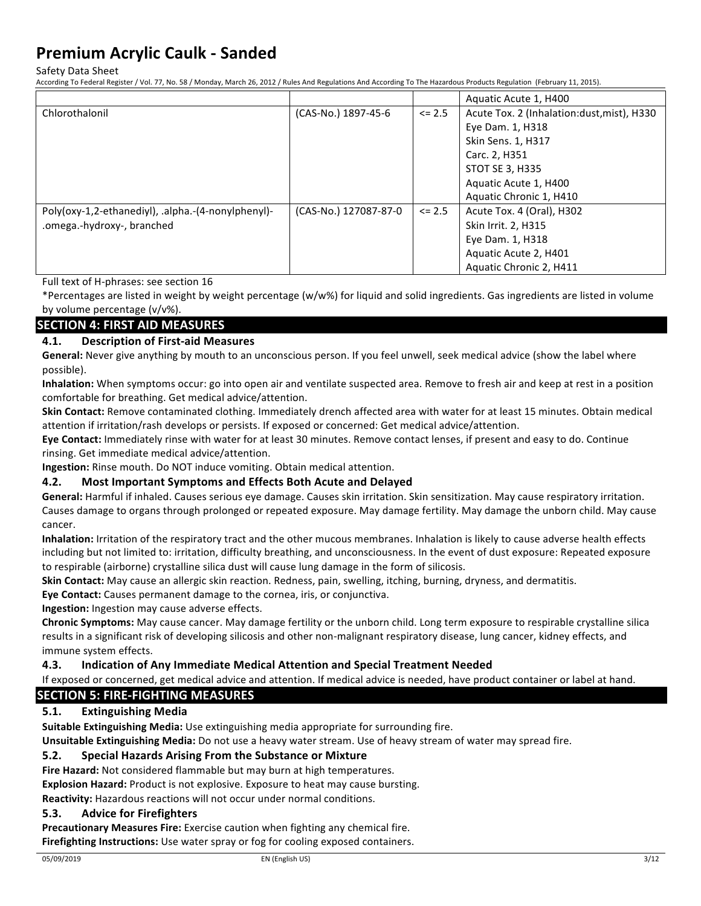Safety Data Sheet

According To Federal Register / Vol. 77, No. 58 / Monday, March 26, 2012 / Rules And Regulations And According To The Hazardous Products Regulation (February 11, 2015).

|                                                    |                       |            | Aquatic Acute 1, H400                      |
|----------------------------------------------------|-----------------------|------------|--------------------------------------------|
| Chlorothalonil                                     | (CAS-No.) 1897-45-6   | $\leq$ 2.5 | Acute Tox. 2 (Inhalation:dust, mist), H330 |
|                                                    |                       |            | Eye Dam. 1, H318                           |
|                                                    |                       |            | Skin Sens. 1, H317                         |
|                                                    |                       |            | Carc. 2, H351                              |
|                                                    |                       |            | <b>STOT SE 3, H335</b>                     |
|                                                    |                       |            | Aquatic Acute 1, H400                      |
|                                                    |                       |            | Aquatic Chronic 1, H410                    |
| Poly(oxy-1,2-ethanediyl), .alpha.-(4-nonylphenyl)- | (CAS-No.) 127087-87-0 | $\leq$ 2.5 | Acute Tox. 4 (Oral), H302                  |
| .omega.-hydroxy-, branched                         |                       |            | Skin Irrit. 2, H315                        |
|                                                    |                       |            | Eye Dam. 1, H318                           |
|                                                    |                       |            | Aquatic Acute 2, H401                      |
|                                                    |                       |            | Aquatic Chronic 2, H411                    |

Full text of H-phrases: see section 16

\*Percentages are listed in weight by weight percentage (w/w%) for liquid and solid ingredients. Gas ingredients are listed in volume by volume percentage  $(v/v\%)$ .

#### **SECTION 4: FIRST AID MEASURES**

#### **4.1. Description of First-aid Measures**

General: Never give anything by mouth to an unconscious person. If you feel unwell, seek medical advice (show the label where possible).

Inhalation: When symptoms occur: go into open air and ventilate suspected area. Remove to fresh air and keep at rest in a position comfortable for breathing. Get medical advice/attention.

**Skin Contact:** Remove contaminated clothing. Immediately drench affected area with water for at least 15 minutes. Obtain medical attention if irritation/rash develops or persists. If exposed or concerned: Get medical advice/attention.

Eye Contact: Immediately rinse with water for at least 30 minutes. Remove contact lenses, if present and easy to do. Continue rinsing. Get immediate medical advice/attention.

**Ingestion:** Rinse mouth. Do NOT induce vomiting. Obtain medical attention.

#### **4.2.** Most Important Symptoms and Effects Both Acute and Delayed

General: Harmful if inhaled. Causes serious eye damage. Causes skin irritation. Skin sensitization. May cause respiratory irritation. Causes damage to organs through prolonged or repeated exposure. May damage fertility. May damage the unborn child. May cause cancer.

Inhalation: Irritation of the respiratory tract and the other mucous membranes. Inhalation is likely to cause adverse health effects including but not limited to: irritation, difficulty breathing, and unconsciousness. In the event of dust exposure: Repeated exposure to respirable (airborne) crystalline silica dust will cause lung damage in the form of silicosis.

**Skin Contact:** May cause an allergic skin reaction. Redness, pain, swelling, itching, burning, dryness, and dermatitis.

**Eye Contact:** Causes permanent damage to the cornea, iris, or conjunctiva.

**Ingestion:** Ingestion may cause adverse effects.

Chronic Symptoms: May cause cancer. May damage fertility or the unborn child. Long term exposure to respirable crystalline silica results in a significant risk of developing silicosis and other non-malignant respiratory disease, lung cancer, kidney effects, and immune system effects.

#### **4.3. Indication of Any Immediate Medical Attention and Special Treatment Needed**

If exposed or concerned, get medical advice and attention. If medical advice is needed, have product container or label at hand.

#### **SECTION 5: FIRE-FIGHTING MEASURES**

#### **5.1. Extinguishing Media**

**Suitable Extinguishing Media:** Use extinguishing media appropriate for surrounding fire.

Unsuitable Extinguishing Media: Do not use a heavy water stream. Use of heavy stream of water may spread fire.

#### **5.2.** Special Hazards Arising From the Substance or Mixture

**Fire Hazard:** Not considered flammable but may burn at high temperatures.

**Explosion Hazard:** Product is not explosive. Exposure to heat may cause bursting.

Reactivity: Hazardous reactions will not occur under normal conditions.

#### **5.3. Advice for Firefighters**

**Precautionary Measures Fire:** Exercise caution when fighting any chemical fire. **Firefighting Instructions:** Use water spray or fog for cooling exposed containers.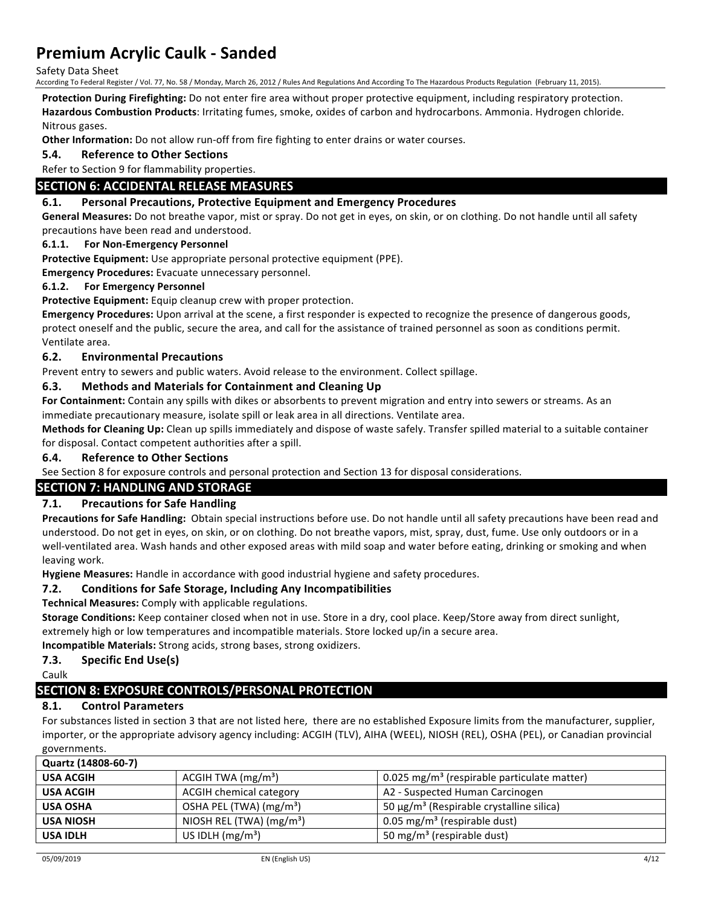Safety Data Sheet

According To Federal Register / Vol. 77, No. 58 / Monday, March 26, 2012 / Rules And Regulations And According To The Hazardous Products Regulation (February 11, 2015).

Protection During Firefighting: Do not enter fire area without proper protective equipment, including respiratory protection.

Hazardous Combustion Products: Irritating fumes, smoke, oxides of carbon and hydrocarbons. Ammonia. Hydrogen chloride. Nitrous gases.

**Other Information:** Do not allow run-off from fire fighting to enter drains or water courses.

#### **5.4. Reference to Other Sections**

Refer to Section 9 for flammability properties.

#### **SECTION 6: ACCIDENTAL RELEASE MEASURES**

#### **6.1. Personal Precautions, Protective Equipment and Emergency Procedures**

General Measures: Do not breathe vapor, mist or spray. Do not get in eyes, on skin, or on clothing. Do not handle until all safety precautions have been read and understood.

#### **6.1.1.** For Non-Emergency Personnel

**Protective Equipment:** Use appropriate personal protective equipment (PPE).

**Emergency Procedures:** Evacuate unnecessary personnel.

#### **6.1.2.** For Emergency Personnel

Protective Equipment: Equip cleanup crew with proper protection.

Emergency Procedures: Upon arrival at the scene, a first responder is expected to recognize the presence of dangerous goods, protect oneself and the public, secure the area, and call for the assistance of trained personnel as soon as conditions permit. Ventilate area.

#### **6.2. Environmental Precautions**

Prevent entry to sewers and public waters. Avoid release to the environment. Collect spillage.

#### **6.3.** Methods and Materials for Containment and Cleaning Up

For Containment: Contain any spills with dikes or absorbents to prevent migration and entry into sewers or streams. As an immediate precautionary measure, isolate spill or leak area in all directions. Ventilate area.

**Methods for Cleaning Up:** Clean up spills immediately and dispose of waste safely. Transfer spilled material to a suitable container for disposal. Contact competent authorities after a spill.

#### **6.4. Reference to Other Sections**

See Section 8 for exposure controls and personal protection and Section 13 for disposal considerations.

#### **SECTION 7: HANDLING AND STORAGE**

#### **7.1. Precautions for Safe Handling**

**Precautions for Safe Handling:** Obtain special instructions before use. Do not handle until all safety precautions have been read and understood. Do not get in eyes, on skin, or on clothing. Do not breathe vapors, mist, spray, dust, fume. Use only outdoors or in a well-ventilated area. Wash hands and other exposed areas with mild soap and water before eating, drinking or smoking and when leaving work.

Hygiene Measures: Handle in accordance with good industrial hygiene and safety procedures.

#### **7.2.** Conditions for Safe Storage, Including Any Incompatibilities

**Technical Measures:** Comply with applicable regulations.

Storage Conditions: Keep container closed when not in use. Store in a dry, cool place. Keep/Store away from direct sunlight, extremely high or low temperatures and incompatible materials. Store locked up/in a secure area.

**Incompatible Materials:** Strong acids, strong bases, strong oxidizers.

#### **7.3.** Specific End Use(s)

Caulk

### **SECTION 8: EXPOSURE CONTROLS/PERSONAL PROTECTION**

### **8.1. Control Parameters**

For substances listed in section 3 that are not listed here, there are no established Exposure limits from the manufacturer, supplier, importer, or the appropriate advisory agency including: ACGIH (TLV), AIHA (WEEL), NIOSH (REL), OSHA (PEL), or Canadian provincial governments.

| Quartz (14808-60-7) |                                     |                                                         |
|---------------------|-------------------------------------|---------------------------------------------------------|
| <b>USA ACGIH</b>    | ACGIH TWA $(mg/m3)$                 | 0.025 mg/m <sup>3</sup> (respirable particulate matter) |
| <b>USA ACGIH</b>    | <b>ACGIH chemical category</b>      | A2 - Suspected Human Carcinogen                         |
| <b>USA OSHA</b>     | OSHA PEL (TWA) (mg/m <sup>3</sup> ) | 50 μg/m <sup>3</sup> (Respirable crystalline silica)    |
| USA NIOSH           | NIOSH REL (TWA) $(mg/m3)$           | 0.05 mg/m <sup>3</sup> (respirable dust)                |
| <b>USA IDLH</b>     | US IDLH $(mg/m3)$                   | 50 mg/m <sup>3</sup> (respirable dust)                  |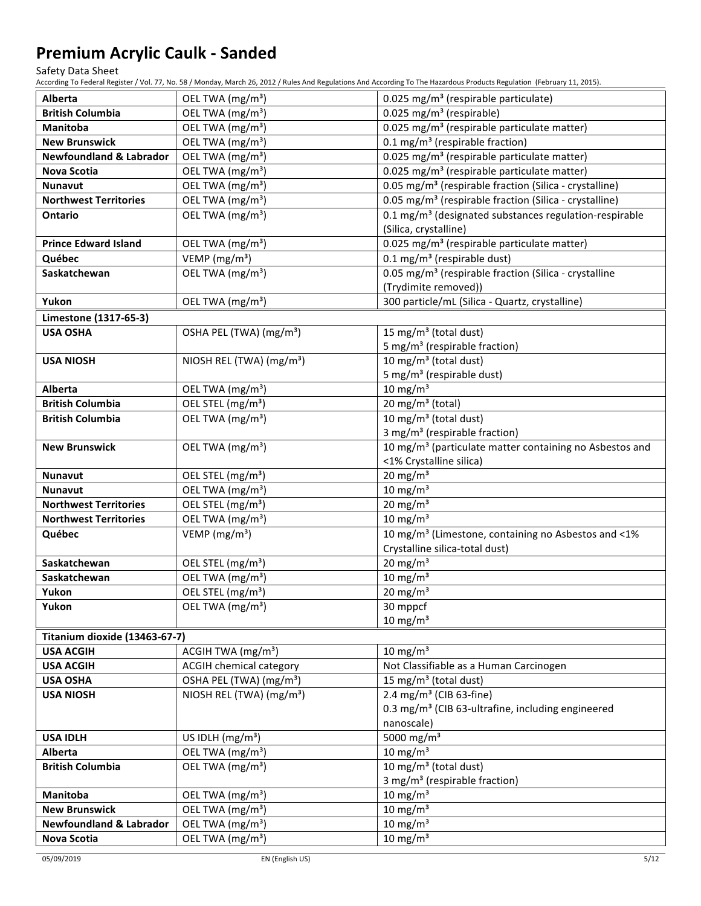Safety Data Sheet

According To Federal Register / Vol. 77, No. 58 / Monday, March 26, 2012 / Rules And Regulations And According To The Hazardous Products Regulation (February 11, 2015).

| <b>Alberta</b>                       | OEL TWA (mg/m <sup>3</sup> )                                          | $0.025$ mg/m <sup>3</sup> (respirable particulate)                  |
|--------------------------------------|-----------------------------------------------------------------------|---------------------------------------------------------------------|
| <b>British Columbia</b>              | OEL TWA (mg/m <sup>3</sup> )                                          | $0.025$ mg/m <sup>3</sup> (respirable)                              |
| Manitoba                             | OEL TWA (mg/m <sup>3</sup> )                                          | 0.025 mg/m <sup>3</sup> (respirable particulate matter)             |
| <b>New Brunswick</b>                 | OEL TWA (mg/m <sup>3</sup> )                                          | 0.1 mg/m <sup>3</sup> (respirable fraction)                         |
| <b>Newfoundland &amp; Labrador</b>   | OEL TWA (mg/m <sup>3</sup> )                                          | 0.025 mg/m <sup>3</sup> (respirable particulate matter)             |
| Nova Scotia                          | OEL TWA (mg/m <sup>3</sup> )                                          | 0.025 mg/m <sup>3</sup> (respirable particulate matter)             |
| <b>Nunavut</b>                       | OEL TWA (mg/m <sup>3</sup> )                                          | 0.05 mg/m <sup>3</sup> (respirable fraction (Silica - crystalline)  |
| <b>Northwest Territories</b>         | OEL TWA (mg/m <sup>3</sup> )                                          | 0.05 mg/m <sup>3</sup> (respirable fraction (Silica - crystalline)  |
| Ontario                              | OEL TWA (mg/m <sup>3</sup> )                                          | 0.1 mg/m <sup>3</sup> (designated substances regulation-respirable  |
|                                      |                                                                       | (Silica, crystalline)                                               |
| <b>Prince Edward Island</b>          | OEL TWA (mg/m <sup>3</sup> )                                          | 0.025 mg/m <sup>3</sup> (respirable particulate matter)             |
| Québec                               | VEMP ( $mg/m3$ )                                                      | $0.1$ mg/m <sup>3</sup> (respirable dust)                           |
| Saskatchewan                         | OEL TWA (mg/m <sup>3</sup> )                                          | 0.05 mg/m <sup>3</sup> (respirable fraction (Silica - crystalline   |
|                                      |                                                                       | (Trydimite removed))                                                |
| Yukon                                | OEL TWA (mg/m <sup>3</sup> )                                          | 300 particle/mL (Silica - Quartz, crystalline)                      |
| Limestone (1317-65-3)                |                                                                       |                                                                     |
| <b>USA OSHA</b>                      | OSHA PEL (TWA) (mg/m <sup>3</sup> )                                   | 15 mg/m <sup>3</sup> (total dust)                                   |
|                                      |                                                                       | 5 mg/m <sup>3</sup> (respirable fraction)                           |
| <b>USA NIOSH</b>                     | NIOSH REL (TWA) (mg/m <sup>3</sup> )                                  | 10 mg/m <sup>3</sup> (total dust)                                   |
|                                      |                                                                       | 5 mg/m <sup>3</sup> (respirable dust)                               |
| <b>Alberta</b>                       | OEL TWA (mg/m <sup>3</sup> )                                          | $10 \text{ mg/m}^3$                                                 |
| <b>British Columbia</b>              | OEL STEL (mg/m <sup>3</sup> )                                         | 20 mg/m $3$ (total)                                                 |
| <b>British Columbia</b>              | OEL TWA (mg/m <sup>3</sup> )                                          | 10 mg/m <sup>3</sup> (total dust)                                   |
|                                      |                                                                       | 3 mg/m <sup>3</sup> (respirable fraction)                           |
| <b>New Brunswick</b>                 | OEL TWA (mg/m <sup>3</sup> )                                          | 10 mg/m <sup>3</sup> (particulate matter containing no Asbestos and |
|                                      |                                                                       | <1% Crystalline silica)                                             |
| <b>Nunavut</b>                       | OEL STEL (mg/m <sup>3</sup> )                                         | $20$ mg/m <sup>3</sup>                                              |
| <b>Nunavut</b>                       | OEL TWA (mg/m <sup>3</sup> )                                          | $10 \text{ mg/m}^3$                                                 |
| <b>Northwest Territories</b>         | OEL STEL (mg/m <sup>3</sup> )                                         | $20 \text{ mg/m}^3$                                                 |
| <b>Northwest Territories</b>         | OEL TWA (mg/m <sup>3</sup> )                                          | $10 \text{ mg/m}^3$                                                 |
| Québec                               | VEMP ( $mg/m3$ )                                                      | 10 mg/m <sup>3</sup> (Limestone, containing no Asbestos and <1%     |
|                                      |                                                                       | Crystalline silica-total dust)                                      |
| Saskatchewan                         | OEL STEL (mg/m <sup>3</sup> )                                         | $20 \text{ mg/m}^3$                                                 |
| Saskatchewan                         | OEL TWA (mg/m <sup>3</sup> )                                          | $10 \text{ mg/m}^3$                                                 |
| Yukon                                | OEL STEL (mg/m <sup>3</sup> )                                         | $20 \text{ mg/m}^3$                                                 |
| Yukon                                | OEL TWA (mg/m <sup>3</sup> )                                          | 30 mppcf<br>$10 \text{ mg/m}^3$                                     |
|                                      |                                                                       |                                                                     |
| Titanium dioxide (13463-67-7)        |                                                                       |                                                                     |
| <b>USA ACGIH</b><br><b>USA ACGIH</b> | ACGIH TWA (mg/m <sup>3</sup> )                                        | $10 \text{ mg/m}^3$<br>Not Classifiable as a Human Carcinogen       |
| <b>USA OSHA</b>                      | <b>ACGIH chemical category</b><br>OSHA PEL (TWA) (mg/m <sup>3</sup> ) | 15 mg/m <sup>3</sup> (total dust)                                   |
| <b>USA NIOSH</b>                     | NIOSH REL (TWA) (mg/m <sup>3</sup> )                                  | 2.4 mg/m <sup>3</sup> (CIB 63-fine)                                 |
|                                      |                                                                       | 0.3 mg/m <sup>3</sup> (CIB 63-ultrafine, including engineered       |
|                                      |                                                                       | nanoscale)                                                          |
| <b>USA IDLH</b>                      | US IDLH $(mg/m3)$                                                     | 5000 mg/m <sup>3</sup>                                              |
| Alberta                              | OEL TWA (mg/m <sup>3</sup> )                                          | $10 \text{ mg/m}^3$                                                 |
| <b>British Columbia</b>              | OEL TWA (mg/m <sup>3</sup> )                                          | 10 mg/m <sup>3</sup> (total dust)                                   |
|                                      |                                                                       | 3 mg/m <sup>3</sup> (respirable fraction)                           |
| Manitoba                             | OEL TWA (mg/m <sup>3</sup> )                                          | $10 \text{ mg/m}^3$                                                 |
| <b>New Brunswick</b>                 | OEL TWA (mg/m <sup>3</sup> )                                          | $10 \text{ mg/m}^3$                                                 |
| <b>Newfoundland &amp; Labrador</b>   | OEL TWA (mg/m <sup>3</sup> )                                          | $10 \text{ mg/m}^3$                                                 |
| <b>Nova Scotia</b>                   | OEL TWA (mg/m <sup>3</sup> )                                          | $10 \text{ mg/m}^3$                                                 |
|                                      |                                                                       |                                                                     |

05/09/2019 EN (English US) 5/12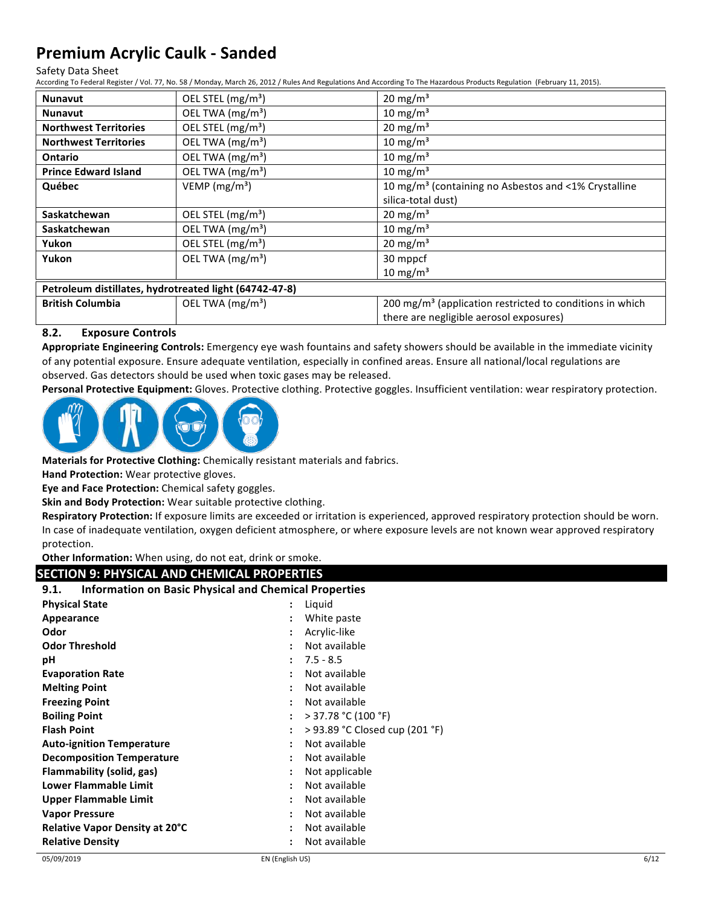#### Safety Data Sheet

According To Federal Register / Vol. 77, No. 58 / Monday, March 26, 2012 / Rules And Regulations And According To The Hazardous Products Regulation (February 11, 2015).

| <b>Nunavut</b>                                         | OEL STEL (mg/m <sup>3</sup> ) | $20 \text{ mg/m}^3$                                                  |
|--------------------------------------------------------|-------------------------------|----------------------------------------------------------------------|
| <b>Nunavut</b>                                         | OEL TWA (mg/m <sup>3</sup> )  | 10 mg/m <sup>3</sup>                                                 |
| <b>Northwest Territories</b>                           | OEL STEL (mg/m <sup>3</sup> ) | $20 \text{ mg/m}^3$                                                  |
| <b>Northwest Territories</b>                           | OEL TWA (mg/m <sup>3</sup> )  | 10 mg/m $3$                                                          |
| Ontario                                                | OEL TWA (mg/m <sup>3</sup> )  | 10 mg/m $3$                                                          |
| <b>Prince Edward Island</b>                            | OEL TWA (mg/m <sup>3</sup> )  | 10 mg/m $3$                                                          |
| Québec                                                 | VEMP ( $mg/m3$ )              | 10 mg/m <sup>3</sup> (containing no Asbestos and <1% Crystalline     |
|                                                        |                               | silica-total dust)                                                   |
| Saskatchewan                                           | OEL STEL (mg/m <sup>3</sup> ) | $20 \text{ mg/m}^3$                                                  |
| Saskatchewan                                           | OEL TWA (mg/m <sup>3</sup> )  | 10 mg/m $3$                                                          |
| Yukon                                                  | OEL STEL (mg/m <sup>3</sup> ) | $20 \text{ mg/m}^3$                                                  |
| Yukon                                                  | OEL TWA (mg/m <sup>3</sup> )  | 30 mppcf                                                             |
|                                                        |                               | $10 \text{ mg/m}^3$                                                  |
| Petroleum distillates, hydrotreated light (64742-47-8) |                               |                                                                      |
| <b>British Columbia</b>                                | OEL TWA (mg/m <sup>3</sup> )  | 200 mg/m <sup>3</sup> (application restricted to conditions in which |
|                                                        |                               | there are negligible aerosol exposures)                              |

#### **8.2. Exposure Controls**

Appropriate Engineering Controls: Emergency eye wash fountains and safety showers should be available in the immediate vicinity of any potential exposure. Ensure adequate ventilation, especially in confined areas. Ensure all national/local regulations are observed. Gas detectors should be used when toxic gases may be released.

Personal Protective Equipment: Gloves. Protective clothing. Protective goggles. Insufficient ventilation: wear respiratory protection.



**Materials for Protective Clothing:** Chemically resistant materials and fabrics.

**Hand Protection:** Wear protective gloves.

**Eye and Face Protection:** Chemical safety goggles.

**Skin and Body Protection:** Wear suitable protective clothing.

Respiratory Protection: If exposure limits are exceeded or irritation is experienced, approved respiratory protection should be worn. In case of inadequate ventilation, oxygen deficient atmosphere, or where exposure levels are not known wear approved respiratory protection.

Other Information: When using, do not eat, drink or smoke.

#### **SECTION 9: PHYSICAL AND CHEMICAL PROPERTIES**

| <b>Information on Basic Physical and Chemical Properties</b><br>9.1. |                                |  |
|----------------------------------------------------------------------|--------------------------------|--|
| <b>Physical State</b>                                                | Liquid                         |  |
| Appearance                                                           | White paste                    |  |
| Odor                                                                 | Acrylic-like                   |  |
| <b>Odor Threshold</b>                                                | Not available                  |  |
| рH                                                                   | $7.5 - 8.5$                    |  |
| <b>Evaporation Rate</b>                                              | Not available                  |  |
| <b>Melting Point</b>                                                 | Not available                  |  |
| <b>Freezing Point</b>                                                | Not available                  |  |
| <b>Boiling Point</b>                                                 | $>$ 37.78 °C (100 °F)          |  |
| <b>Flash Point</b>                                                   | > 93.89 °C Closed cup (201 °F) |  |
| <b>Auto-ignition Temperature</b>                                     | Not available                  |  |
| <b>Decomposition Temperature</b>                                     | Not available                  |  |
| Flammability (solid, gas)                                            | Not applicable                 |  |
| <b>Lower Flammable Limit</b>                                         | Not available                  |  |
| <b>Upper Flammable Limit</b>                                         | Not available                  |  |
| <b>Vapor Pressure</b>                                                | Not available<br>٠             |  |
| <b>Relative Vapor Density at 20°C</b>                                | Not available<br>٠             |  |
| <b>Relative Density</b>                                              | Not available                  |  |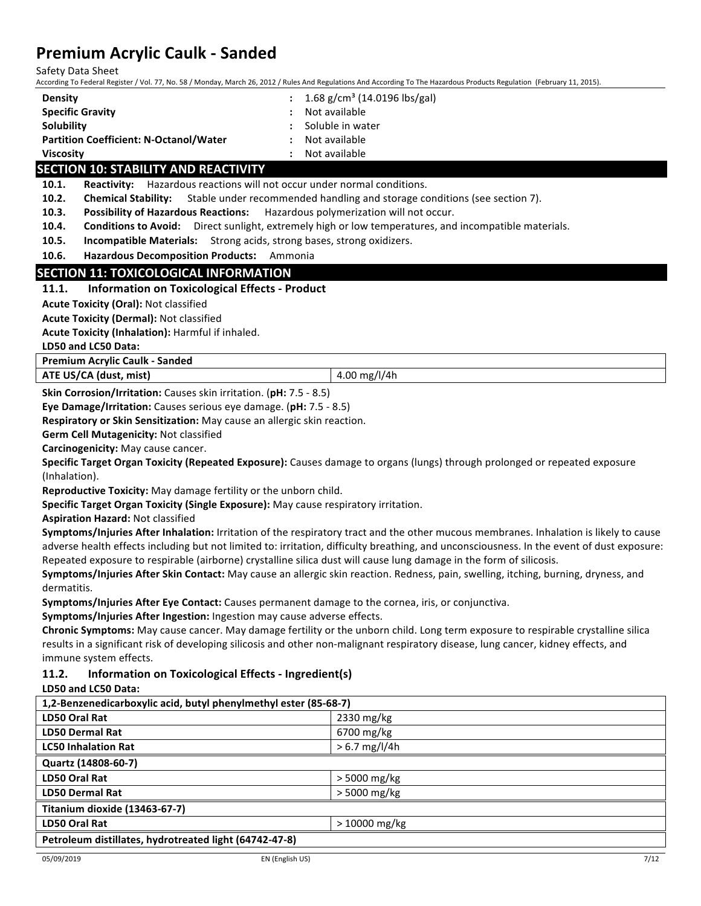| FICHING AU VIIL CAUIN - JANUEU<br>Safety Data Sheet                                 | According To Federal Register / Vol. 77, No. 58 / Monday, March 26, 2012 / Rules And Regulations And According To The Hazardous Products Regulation (February 11, 2015). |  |  |
|-------------------------------------------------------------------------------------|--------------------------------------------------------------------------------------------------------------------------------------------------------------------------|--|--|
| <b>Density</b>                                                                      | 1.68 g/cm <sup>3</sup> (14.0196 lbs/gal)                                                                                                                                 |  |  |
| <b>Specific Gravity</b>                                                             | Not available                                                                                                                                                            |  |  |
| Solubility                                                                          | Soluble in water                                                                                                                                                         |  |  |
| <b>Partition Coefficient: N-Octanol/Water</b>                                       | Not available                                                                                                                                                            |  |  |
| <b>Viscosity</b>                                                                    | Not available<br>$\ddot{\phantom{a}}$                                                                                                                                    |  |  |
| <b>SECTION 10: STABILITY AND REACTIVITY</b>                                         |                                                                                                                                                                          |  |  |
| Reactivity: Hazardous reactions will not occur under normal conditions.<br>10.1.    |                                                                                                                                                                          |  |  |
| 10.2.<br><b>Chemical Stability:</b>                                                 | Stable under recommended handling and storage conditions (see section 7).                                                                                                |  |  |
| 10.3.<br><b>Possibility of Hazardous Reactions:</b>                                 | Hazardous polymerization will not occur.                                                                                                                                 |  |  |
| 10.4.                                                                               | Conditions to Avoid: Direct sunlight, extremely high or low temperatures, and incompatible materials.                                                                    |  |  |
| 10.5.<br>Incompatible Materials: Strong acids, strong bases, strong oxidizers.      |                                                                                                                                                                          |  |  |
| 10.6.<br>Hazardous Decomposition Products: Ammonia                                  |                                                                                                                                                                          |  |  |
| <b>SECTION 11: TOXICOLOGICAL INFORMATION</b>                                        |                                                                                                                                                                          |  |  |
| 11.1.<br><b>Information on Toxicological Effects - Product</b>                      |                                                                                                                                                                          |  |  |
| <b>Acute Toxicity (Oral): Not classified</b>                                        |                                                                                                                                                                          |  |  |
| <b>Acute Toxicity (Dermal): Not classified</b>                                      |                                                                                                                                                                          |  |  |
| Acute Toxicity (Inhalation): Harmful if inhaled.                                    |                                                                                                                                                                          |  |  |
| LD50 and LC50 Data:                                                                 |                                                                                                                                                                          |  |  |
| <b>Premium Acrylic Caulk - Sanded</b>                                               |                                                                                                                                                                          |  |  |
| ATE US/CA (dust, mist)                                                              | 4.00 mg/l/4h                                                                                                                                                             |  |  |
| Skin Corrosion/Irritation: Causes skin irritation. (pH: 7.5 - 8.5)                  |                                                                                                                                                                          |  |  |
| Eye Damage/Irritation: Causes serious eye damage. (pH: 7.5 - 8.5)                   |                                                                                                                                                                          |  |  |
| Respiratory or Skin Sensitization: May cause an allergic skin reaction.             |                                                                                                                                                                          |  |  |
| Germ Cell Mutagenicity: Not classified                                              |                                                                                                                                                                          |  |  |
| Carcinogenicity: May cause cancer.                                                  |                                                                                                                                                                          |  |  |
|                                                                                     | Specific Target Organ Toxicity (Repeated Exposure): Causes damage to organs (lungs) through prolonged or repeated exposure                                               |  |  |
| (Inhalation).                                                                       |                                                                                                                                                                          |  |  |
| Reproductive Toxicity: May damage fertility or the unborn child.                    |                                                                                                                                                                          |  |  |
| Specific Target Organ Toxicity (Single Exposure): May cause respiratory irritation. |                                                                                                                                                                          |  |  |
| <b>Aspiration Hazard: Not classified</b>                                            |                                                                                                                                                                          |  |  |
|                                                                                     | Symptoms/Injuries After Inhalation: Irritation of the respiratory tract and the other mucous membranes. Inhalation is likely to cause                                    |  |  |
|                                                                                     | adverse health effects including but not limited to: irritation, difficulty breathing, and unconsciousness. In the event of dust exposure:                               |  |  |
|                                                                                     | Repeated exposure to respirable (airborne) crystalline silica dust will cause lung damage in the form of silicosis.                                                      |  |  |

Symptoms/Injuries After Skin Contact: May cause an allergic skin reaction. Redness, pain, swelling, itching, burning, dryness, and dermatitis.

Symptoms/Injuries After Eye Contact: Causes permanent damage to the cornea, iris, or conjunctiva.

Symptoms/Injuries After Ingestion: Ingestion may cause adverse effects.

**Chronic Symptoms:** May cause cancer. May damage fertility or the unborn child. Long term exposure to respirable crystalline silica results in a significant risk of developing silicosis and other non-malignant respiratory disease, lung cancer, kidney effects, and immune system effects.

#### **11.2. Information on Toxicological Effects - Ingredient(s)**

#### **LD50 and LC50 Data:**

| 1,2-Benzenedicarboxylic acid, butyl phenylmethyl ester (85-68-7) |                 |  |
|------------------------------------------------------------------|-----------------|--|
| LD50 Oral Rat                                                    | 2330 mg/kg      |  |
| <b>LD50 Dermal Rat</b>                                           | $6700$ mg/kg    |  |
| <b>LC50 Inhalation Rat</b>                                       | $> 6.7$ mg/l/4h |  |
| Quartz (14808-60-7)                                              |                 |  |
| LD50 Oral Rat                                                    | $>$ 5000 mg/kg  |  |
| <b>LD50 Dermal Rat</b>                                           | $>$ 5000 mg/kg  |  |
| Titanium dioxide (13463-67-7)                                    |                 |  |
| LD50 Oral Rat                                                    | $>10000$ mg/kg  |  |
| Petroleum distillates, hydrotreated light (64742-47-8)           |                 |  |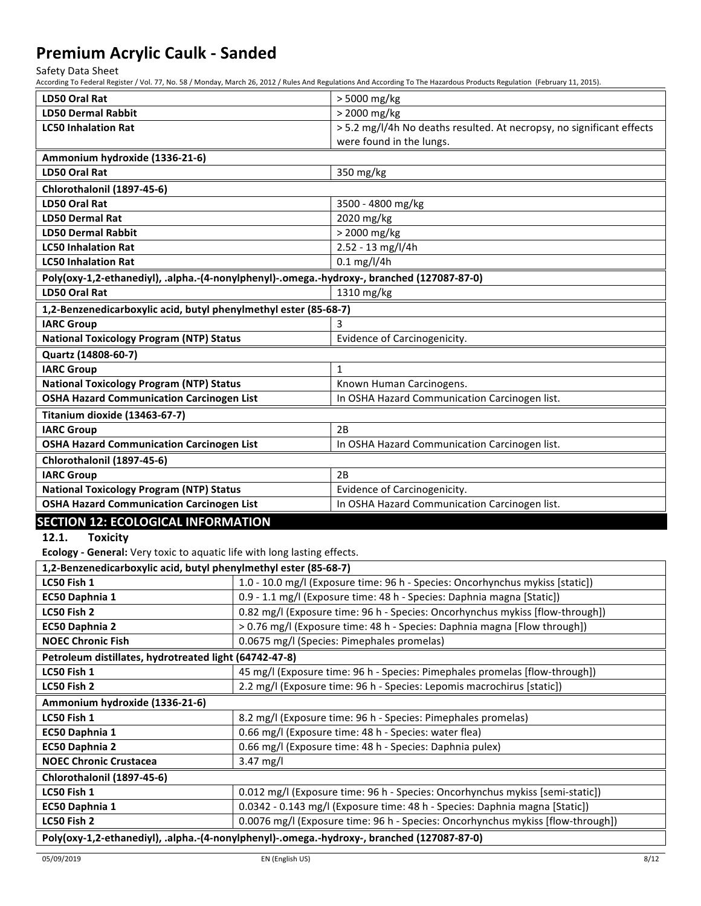Safety Data Sheet

According To Federal Register / Vol. 77, No. 58 / Monday, March 26, 2012 / Rules And Regulations And According To The Hazardous Products Regulation (February 11, 2015).

| LD50 Oral Rat                                                                              |                                                                               | > 5000 mg/kg                                                          |  |
|--------------------------------------------------------------------------------------------|-------------------------------------------------------------------------------|-----------------------------------------------------------------------|--|
| <b>LD50 Dermal Rabbit</b>                                                                  |                                                                               | > 2000 mg/kg                                                          |  |
| <b>LC50 Inhalation Rat</b>                                                                 |                                                                               | > 5.2 mg/l/4h No deaths resulted. At necropsy, no significant effects |  |
|                                                                                            |                                                                               | were found in the lungs.                                              |  |
| Ammonium hydroxide (1336-21-6)                                                             |                                                                               |                                                                       |  |
| <b>LD50 Oral Rat</b>                                                                       |                                                                               | 350 mg/kg                                                             |  |
| Chlorothalonil (1897-45-6)                                                                 |                                                                               |                                                                       |  |
| LD50 Oral Rat                                                                              |                                                                               | 3500 - 4800 mg/kg                                                     |  |
| <b>LD50 Dermal Rat</b>                                                                     |                                                                               | 2020 mg/kg                                                            |  |
| <b>LD50 Dermal Rabbit</b>                                                                  |                                                                               | > 2000 mg/kg                                                          |  |
| <b>LC50 Inhalation Rat</b>                                                                 |                                                                               | 2.52 - 13 mg/l/4h                                                     |  |
| <b>LC50 Inhalation Rat</b>                                                                 |                                                                               | $0.1$ mg/l/4h                                                         |  |
| Poly(oxy-1,2-ethanediyl), .alpha.-(4-nonylphenyl)-.omega.-hydroxy-, branched (127087-87-0) |                                                                               |                                                                       |  |
| <b>LD50 Oral Rat</b>                                                                       |                                                                               | 1310 mg/kg                                                            |  |
| 1,2-Benzenedicarboxylic acid, butyl phenylmethyl ester (85-68-7)                           |                                                                               |                                                                       |  |
| <b>IARC Group</b>                                                                          |                                                                               | 3                                                                     |  |
| <b>National Toxicology Program (NTP) Status</b>                                            |                                                                               | Evidence of Carcinogenicity.                                          |  |
| Quartz (14808-60-7)                                                                        |                                                                               |                                                                       |  |
| <b>IARC Group</b>                                                                          |                                                                               | $\mathbf{1}$                                                          |  |
| <b>National Toxicology Program (NTP) Status</b>                                            |                                                                               | Known Human Carcinogens.                                              |  |
| <b>OSHA Hazard Communication Carcinogen List</b>                                           |                                                                               | In OSHA Hazard Communication Carcinogen list.                         |  |
| Titanium dioxide (13463-67-7)                                                              |                                                                               |                                                                       |  |
| <b>IARC Group</b>                                                                          |                                                                               | 2B                                                                    |  |
| <b>OSHA Hazard Communication Carcinogen List</b>                                           |                                                                               | In OSHA Hazard Communication Carcinogen list.                         |  |
| Chlorothalonil (1897-45-6)                                                                 |                                                                               |                                                                       |  |
| <b>IARC Group</b>                                                                          |                                                                               | 2B                                                                    |  |
| <b>National Toxicology Program (NTP) Status</b>                                            |                                                                               | Evidence of Carcinogenicity.                                          |  |
| <b>OSHA Hazard Communication Carcinogen List</b>                                           |                                                                               | In OSHA Hazard Communication Carcinogen list.                         |  |
| <b>SECTION 12: ECOLOGICAL INFORMATION</b>                                                  |                                                                               |                                                                       |  |
| 12.1.<br><b>Toxicity</b>                                                                   |                                                                               |                                                                       |  |
| Ecology - General: Very toxic to aquatic life with long lasting effects.                   |                                                                               |                                                                       |  |
| 1,2-Benzenedicarboxylic acid, butyl phenylmethyl ester (85-68-7)                           |                                                                               |                                                                       |  |
| LC50 Fish 1                                                                                | 1.0 - 10.0 mg/l (Exposure time: 96 h - Species: Oncorhynchus mykiss [static]) |                                                                       |  |
| EC50 Daphnia 1                                                                             | 0.9 - 1.1 mg/l (Exposure time: 48 h - Species: Daphnia magna [Static])        |                                                                       |  |
| LC50 Fish 2                                                                                | 0.82 mg/l (Exposure time: 96 h - Species: Oncorhynchus mykiss [flow-through]) |                                                                       |  |
| EC50 Daphnia 2                                                                             | > 0.76 mg/l (Exposure time: 48 h - Species: Daphnia magna [Flow through])     |                                                                       |  |
| <b>NOEC Chronic Fish</b>                                                                   | 0.0675 mg/l (Species: Pimephales promelas)                                    |                                                                       |  |
| Petroleum distillates, hydrotreated light (64742-47-8)                                     |                                                                               |                                                                       |  |
| LC50 Fish 1                                                                                | 45 mg/l (Exposure time: 96 h - Species: Pimephales promelas [flow-through])   |                                                                       |  |

|                                                                                            | <del>, and the component component of the component production</del> them controlled the component of the component of the |  |  |
|--------------------------------------------------------------------------------------------|----------------------------------------------------------------------------------------------------------------------------|--|--|
| LC50 Fish 2                                                                                | 2.2 mg/l (Exposure time: 96 h - Species: Lepomis macrochirus [static])                                                     |  |  |
| Ammonium hydroxide (1336-21-6)                                                             |                                                                                                                            |  |  |
| LC50 Fish 1                                                                                | 8.2 mg/l (Exposure time: 96 h - Species: Pimephales promelas)                                                              |  |  |
| EC50 Daphnia 1                                                                             | 0.66 mg/l (Exposure time: 48 h - Species: water flea)                                                                      |  |  |
| EC50 Daphnia 2                                                                             | 0.66 mg/l (Exposure time: 48 h - Species: Daphnia pulex)                                                                   |  |  |
| <b>NOEC Chronic Crustacea</b>                                                              | $3.47 \text{ mg/l}$                                                                                                        |  |  |
| Chlorothalonil (1897-45-6)                                                                 |                                                                                                                            |  |  |
| LC50 Fish 1                                                                                | 0.012 mg/l (Exposure time: 96 h - Species: Oncorhynchus mykiss [semi-static])                                              |  |  |
| EC50 Daphnia 1                                                                             | 0.0342 - 0.143 mg/l (Exposure time: 48 h - Species: Daphnia magna [Static])                                                |  |  |
| LC50 Fish 2                                                                                | 0.0076 mg/l (Exposure time: 96 h - Species: Oncorhynchus mykiss [flow-through])                                            |  |  |
| Poly(oxy-1,2-ethanediyl), .alpha.-(4-nonylphenyl)-.omega.-hydroxy-, branched (127087-87-0) |                                                                                                                            |  |  |
|                                                                                            |                                                                                                                            |  |  |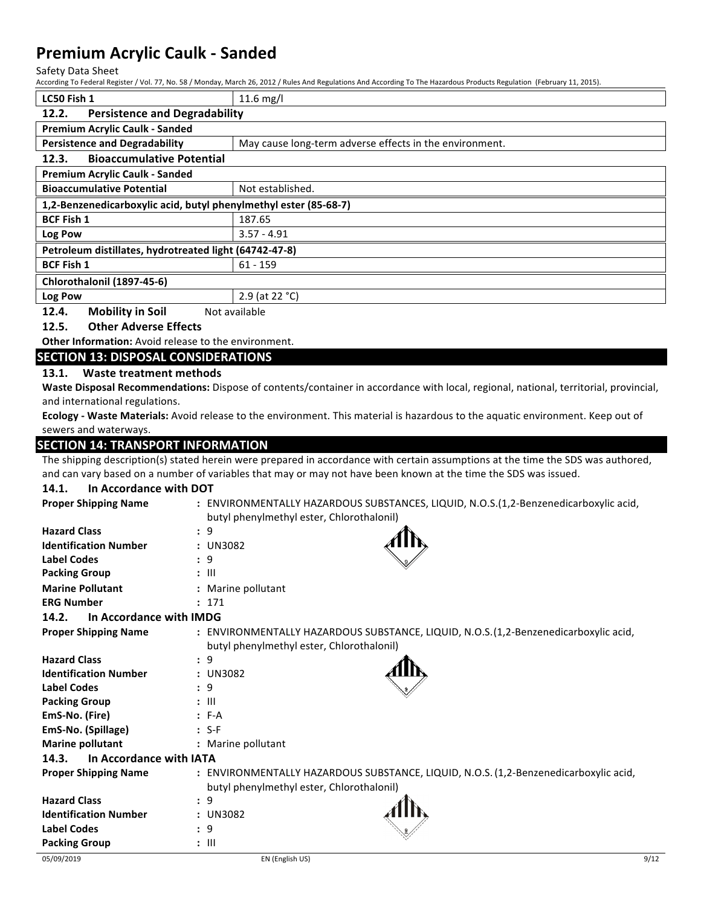Safety Data Sheet

According To Federal Register / Vol. 77, No. 58 / Monday, March 26, 2012 / Rules And Regulations And According To The Hazardous Products Regulation (February 11, 2015).

| LC50 Fish 1                                                      | $11.6$ mg/l                                             |  |
|------------------------------------------------------------------|---------------------------------------------------------|--|
| <b>Persistence and Degradability</b><br>12.2.                    |                                                         |  |
| <b>Premium Acrylic Caulk - Sanded</b>                            |                                                         |  |
| <b>Persistence and Degradability</b>                             | May cause long-term adverse effects in the environment. |  |
| <b>Bioaccumulative Potential</b><br>12.3.                        |                                                         |  |
| <b>Premium Acrylic Caulk - Sanded</b>                            |                                                         |  |
| <b>Bioaccumulative Potential</b>                                 | Not established.                                        |  |
| 1,2-Benzenedicarboxylic acid, butyl phenylmethyl ester (85-68-7) |                                                         |  |
| <b>BCF Fish 1</b>                                                | 187.65                                                  |  |
| Log Pow                                                          | $3.57 - 4.91$                                           |  |
| Petroleum distillates, hydrotreated light (64742-47-8)           |                                                         |  |
| <b>BCF Fish 1</b><br>$61 - 159$                                  |                                                         |  |
| Chlorothalonil (1897-45-6)                                       |                                                         |  |
| Log Pow                                                          | 2.9 (at 22 °C)                                          |  |
| Mobility in Soil<br>12 $\Delta$<br>Not available                 |                                                         |  |

**12.4. Mobility in Soil** Not available

## **12.5.** Other Adverse Effects

**Other Information:** Avoid release to the environment.

## **SECTION 13: DISPOSAL CONSIDERATIONS**

13.1. Waste treatment methods

Waste Disposal Recommendations: Dispose of contents/container in accordance with local, regional, national, territorial, provincial, and international regulations.

Ecology - Waste Materials: Avoid release to the environment. This material is hazardous to the aquatic environment. Keep out of sewers and waterways.

#### **SECTION 14: TRANSPORT INFORMATION**

The shipping description(s) stated herein were prepared in accordance with certain assumptions at the time the SDS was authored, and can vary based on a number of variables that may or may not have been known at the time the SDS was issued.

#### **14.1.** In Accordance with DOT

| <b>Proper Shipping Name</b>      | : ENVIRONMENTALLY HAZARDOUS SUBSTANCES, LIQUID, N.O.S.(1,2-Benzenedicarboxylic acid,<br>butyl phenylmethyl ester, Chlorothalonil) |
|----------------------------------|-----------------------------------------------------------------------------------------------------------------------------------|
| <b>Hazard Class</b>              | : 9                                                                                                                               |
| <b>Identification Number</b>     | : UN3082                                                                                                                          |
| <b>Label Codes</b>               | : 9                                                                                                                               |
| <b>Packing Group</b>             | $: \mathbb{H}$                                                                                                                    |
| <b>Marine Pollutant</b>          | : Marine pollutant                                                                                                                |
| <b>ERG Number</b>                | : 171                                                                                                                             |
| In Accordance with IMDG<br>14.2. |                                                                                                                                   |
| <b>Proper Shipping Name</b>      | : ENVIRONMENTALLY HAZARDOUS SUBSTANCE, LIQUID, N.O.S.(1,2-Benzenedicarboxylic acid,                                               |
|                                  | butyl phenylmethyl ester, Chlorothalonil)                                                                                         |
| <b>Hazard Class</b>              | : 9                                                                                                                               |
| <b>Identification Number</b>     | : UN3082                                                                                                                          |
| <b>Label Codes</b>               | $\cdot$ 9                                                                                                                         |
| <b>Packing Group</b>             | $: \mathbb{H}$                                                                                                                    |
| EmS-No. (Fire)                   | $: F-A$                                                                                                                           |
| EmS-No. (Spillage)               | $: S-F$                                                                                                                           |
| <b>Marine pollutant</b>          | : Marine pollutant                                                                                                                |
| In Accordance with IATA<br>14.3. |                                                                                                                                   |
| <b>Proper Shipping Name</b>      | : ENVIRONMENTALLY HAZARDOUS SUBSTANCE, LIQUID, N.O.S. (1,2-Benzenedicarboxylic acid,                                              |
|                                  | butyl phenylmethyl ester, Chlorothalonil)                                                                                         |
| <b>Hazard Class</b>              | : 9                                                                                                                               |
| <b>Identification Number</b>     | : UN3082                                                                                                                          |
| <b>Label Codes</b>               | : 9                                                                                                                               |
| <b>Packing Group</b>             | $: \mathbb{H}$                                                                                                                    |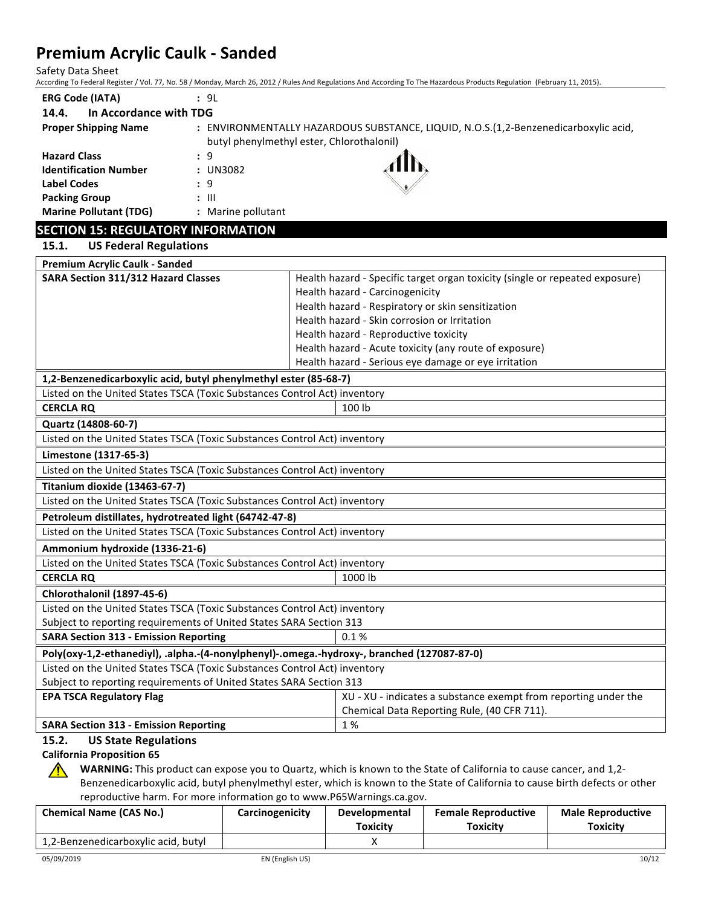Safety Data Sheet

According To Federal Register / Vol. 77, No. 58 / Monday, March 26, 2012 / Rules And Regulations And According To The Hazardous Products Regulation (February 11, 2015).

| <b>ERG Code (IATA)</b>               | : 9L                                      |                                                                                     |
|--------------------------------------|-------------------------------------------|-------------------------------------------------------------------------------------|
| In Accordance with TDG<br>14.4.      |                                           |                                                                                     |
| <b>Proper Shipping Name</b>          | butyl phenylmethyl ester, Chlorothalonil) | : ENVIRONMENTALLY HAZARDOUS SUBSTANCE, LIQUID, N.O.S.(1,2-Benzenedicarboxylic acid, |
| <b>Hazard Class</b>                  | : 9                                       |                                                                                     |
| <b>Identification Number</b>         | : UN3082                                  |                                                                                     |
| <b>Label Codes</b>                   | : 9                                       | $\mathcal{L}$                                                                       |
| <b>Packing Group</b>                 | $\therefore$ $\parallel$                  |                                                                                     |
| <b>Marine Pollutant (TDG)</b>        | Marine pollutant                          |                                                                                     |
| CECTION 4F. DECIH ATODY INFODIAATION |                                           |                                                                                     |

## **SECTION 15: REGULATORY INFORMATION**

| 15.1. |  | <b>US Federal Regulations</b> |
|-------|--|-------------------------------|
|-------|--|-------------------------------|

| <b>Premium Acrylic Caulk - Sanded</b>                                                      |                                                                              |  |  |
|--------------------------------------------------------------------------------------------|------------------------------------------------------------------------------|--|--|
| <b>SARA Section 311/312 Hazard Classes</b>                                                 | Health hazard - Specific target organ toxicity (single or repeated exposure) |  |  |
|                                                                                            | Health hazard - Carcinogenicity                                              |  |  |
|                                                                                            | Health hazard - Respiratory or skin sensitization                            |  |  |
|                                                                                            | Health hazard - Skin corrosion or Irritation                                 |  |  |
|                                                                                            | Health hazard - Reproductive toxicity                                        |  |  |
|                                                                                            | Health hazard - Acute toxicity (any route of exposure)                       |  |  |
|                                                                                            | Health hazard - Serious eye damage or eye irritation                         |  |  |
| 1,2-Benzenedicarboxylic acid, butyl phenylmethyl ester (85-68-7)                           |                                                                              |  |  |
| Listed on the United States TSCA (Toxic Substances Control Act) inventory                  |                                                                              |  |  |
| <b>CERCLA RQ</b>                                                                           | 100 lb                                                                       |  |  |
| Quartz (14808-60-7)                                                                        |                                                                              |  |  |
| Listed on the United States TSCA (Toxic Substances Control Act) inventory                  |                                                                              |  |  |
| Limestone (1317-65-3)                                                                      |                                                                              |  |  |
| Listed on the United States TSCA (Toxic Substances Control Act) inventory                  |                                                                              |  |  |
| Titanium dioxide (13463-67-7)                                                              |                                                                              |  |  |
| Listed on the United States TSCA (Toxic Substances Control Act) inventory                  |                                                                              |  |  |
| Petroleum distillates, hydrotreated light (64742-47-8)                                     |                                                                              |  |  |
| Listed on the United States TSCA (Toxic Substances Control Act) inventory                  |                                                                              |  |  |
| Ammonium hydroxide (1336-21-6)                                                             |                                                                              |  |  |
| Listed on the United States TSCA (Toxic Substances Control Act) inventory                  |                                                                              |  |  |
| <b>CERCLA RQ</b><br>1000 lb                                                                |                                                                              |  |  |
| Chlorothalonil (1897-45-6)                                                                 |                                                                              |  |  |
| Listed on the United States TSCA (Toxic Substances Control Act) inventory                  |                                                                              |  |  |
| Subject to reporting requirements of United States SARA Section 313                        |                                                                              |  |  |
| <b>SARA Section 313 - Emission Reporting</b>                                               | 0.1%                                                                         |  |  |
| Poly(oxy-1,2-ethanediyl), .alpha.-(4-nonylphenyl)-.omega.-hydroxy-, branched (127087-87-0) |                                                                              |  |  |
| Listed on the United States TSCA (Toxic Substances Control Act) inventory                  |                                                                              |  |  |
| Subject to reporting requirements of United States SARA Section 313                        |                                                                              |  |  |
| <b>EPA TSCA Regulatory Flag</b>                                                            | XU - XU - indicates a substance exempt from reporting under the              |  |  |
|                                                                                            | Chemical Data Reporting Rule, (40 CFR 711).                                  |  |  |
| 1%<br><b>SARA Section 313 - Emission Reporting</b>                                         |                                                                              |  |  |
| 15.2.<br><b>US State Regulations</b>                                                       |                                                                              |  |  |

## **California Proposition 65**

WARNING: This product can expose you to Quartz, which is known to the State of California to cause cancer, and 1,2-Benzenedicarboxylic acid, butyl phenylmethyl ester, which is known to the State of California to cause birth defects or other reproductive harm. For more information go to www.P65Warnings.ca.gov.

| <b>Chemical Name (CAS No.)</b>      | Carcinogenicity | <b>Developmental</b><br><b>Toxicity</b> | <b>Female Reproductive</b><br><b>Toxicity</b> | <b>Male Reproductive</b><br>Toxicity |
|-------------------------------------|-----------------|-----------------------------------------|-----------------------------------------------|--------------------------------------|
| 1,2-Benzenedicarboxylic acid, butyl |                 |                                         |                                               |                                      |

⚠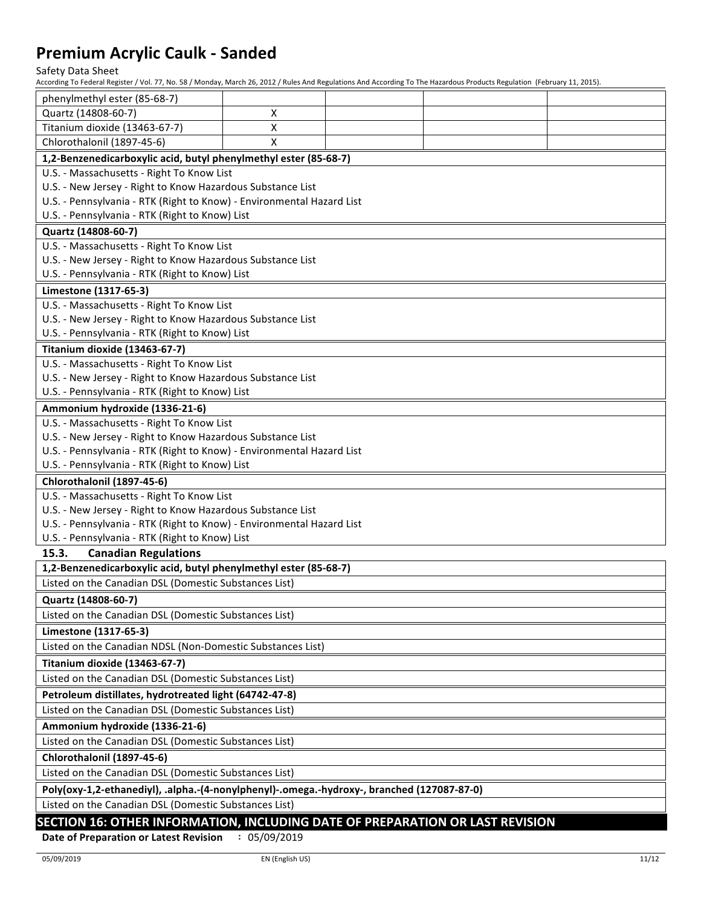Safety Data Sheet

According To Federal Register / Vol. 77, No. 58 / Monday, March 26, 2012 / Rules And Regulations And According To The Hazardous Products Regulation (February 11, 2015).

| According To Federal Register / Vol. 77, No. 58 / Monday, March 26, 2012 / Rules And Regulations And According To The Hazardous Products Regulation (February 11, 2015). |                                           |  |  |  |
|--------------------------------------------------------------------------------------------------------------------------------------------------------------------------|-------------------------------------------|--|--|--|
| phenylmethyl ester (85-68-7)                                                                                                                                             |                                           |  |  |  |
| Quartz (14808-60-7)                                                                                                                                                      | х                                         |  |  |  |
| Titanium dioxide (13463-67-7)                                                                                                                                            | X                                         |  |  |  |
| Chlorothalonil (1897-45-6)                                                                                                                                               | $\pmb{\mathsf{X}}$                        |  |  |  |
| 1,2-Benzenedicarboxylic acid, butyl phenylmethyl ester (85-68-7)                                                                                                         |                                           |  |  |  |
| U.S. - Massachusetts - Right To Know List                                                                                                                                |                                           |  |  |  |
| U.S. - New Jersey - Right to Know Hazardous Substance List                                                                                                               |                                           |  |  |  |
| U.S. - Pennsylvania - RTK (Right to Know) - Environmental Hazard List                                                                                                    |                                           |  |  |  |
| U.S. - Pennsylvania - RTK (Right to Know) List                                                                                                                           |                                           |  |  |  |
| Quartz (14808-60-7)                                                                                                                                                      |                                           |  |  |  |
| U.S. - Massachusetts - Right To Know List                                                                                                                                |                                           |  |  |  |
| U.S. - New Jersey - Right to Know Hazardous Substance List                                                                                                               |                                           |  |  |  |
| U.S. - Pennsylvania - RTK (Right to Know) List                                                                                                                           |                                           |  |  |  |
| Limestone (1317-65-3)                                                                                                                                                    |                                           |  |  |  |
| U.S. - Massachusetts - Right To Know List                                                                                                                                |                                           |  |  |  |
| U.S. - New Jersey - Right to Know Hazardous Substance List                                                                                                               |                                           |  |  |  |
| U.S. - Pennsylvania - RTK (Right to Know) List                                                                                                                           |                                           |  |  |  |
| Titanium dioxide (13463-67-7)                                                                                                                                            |                                           |  |  |  |
| U.S. - Massachusetts - Right To Know List                                                                                                                                |                                           |  |  |  |
| U.S. - New Jersey - Right to Know Hazardous Substance List                                                                                                               |                                           |  |  |  |
| U.S. - Pennsylvania - RTK (Right to Know) List                                                                                                                           |                                           |  |  |  |
| Ammonium hydroxide (1336-21-6)                                                                                                                                           |                                           |  |  |  |
| U.S. - Massachusetts - Right To Know List                                                                                                                                |                                           |  |  |  |
| U.S. - New Jersey - Right to Know Hazardous Substance List                                                                                                               |                                           |  |  |  |
| U.S. - Pennsylvania - RTK (Right to Know) - Environmental Hazard List                                                                                                    |                                           |  |  |  |
| U.S. - Pennsylvania - RTK (Right to Know) List                                                                                                                           |                                           |  |  |  |
| Chlorothalonil (1897-45-6)                                                                                                                                               |                                           |  |  |  |
|                                                                                                                                                                          | U.S. - Massachusetts - Right To Know List |  |  |  |
| U.S. - New Jersey - Right to Know Hazardous Substance List                                                                                                               |                                           |  |  |  |
| U.S. - Pennsylvania - RTK (Right to Know) - Environmental Hazard List                                                                                                    |                                           |  |  |  |
| U.S. - Pennsylvania - RTK (Right to Know) List                                                                                                                           |                                           |  |  |  |
| 15.3.<br><b>Canadian Regulations</b>                                                                                                                                     |                                           |  |  |  |
| 1,2-Benzenedicarboxylic acid, butyl phenylmethyl ester (85-68-7)                                                                                                         |                                           |  |  |  |
| Listed on the Canadian DSL (Domestic Substances List)                                                                                                                    |                                           |  |  |  |
| Quartz (14808-60-7)                                                                                                                                                      |                                           |  |  |  |
| Listed on the Canadian DSL (Domestic Substances List)                                                                                                                    |                                           |  |  |  |
| Limestone (1317-65-3)                                                                                                                                                    |                                           |  |  |  |
| Listed on the Canadian NDSL (Non-Domestic Substances List)                                                                                                               |                                           |  |  |  |
| Titanium dioxide (13463-67-7)                                                                                                                                            |                                           |  |  |  |
| Listed on the Canadian DSL (Domestic Substances List)                                                                                                                    |                                           |  |  |  |
| Petroleum distillates, hydrotreated light (64742-47-8)                                                                                                                   |                                           |  |  |  |
| Listed on the Canadian DSL (Domestic Substances List)                                                                                                                    |                                           |  |  |  |
| Ammonium hydroxide (1336-21-6)                                                                                                                                           |                                           |  |  |  |
| Listed on the Canadian DSL (Domestic Substances List)                                                                                                                    |                                           |  |  |  |
| Chlorothalonil (1897-45-6)                                                                                                                                               |                                           |  |  |  |
| Listed on the Canadian DSL (Domestic Substances List)                                                                                                                    |                                           |  |  |  |
| Poly(oxy-1,2-ethanediyl), .alpha.-(4-nonylphenyl)-.omega.-hydroxy-, branched (127087-87-0)                                                                               |                                           |  |  |  |
| Listed on the Canadian DSL (Domestic Substances List)                                                                                                                    |                                           |  |  |  |
| <b>CECTION 16: OTHER INFORMATION INCLUDING DATE OF REPARATION OR LAST REVISION</b>                                                                                       |                                           |  |  |  |

#### **SECTION 16: OTHER INFORMATION, INCLUDING DATE OF PREPARATION OR LAST REVISION**

**Date of Preparation or Latest Revision : 05/09/2019**